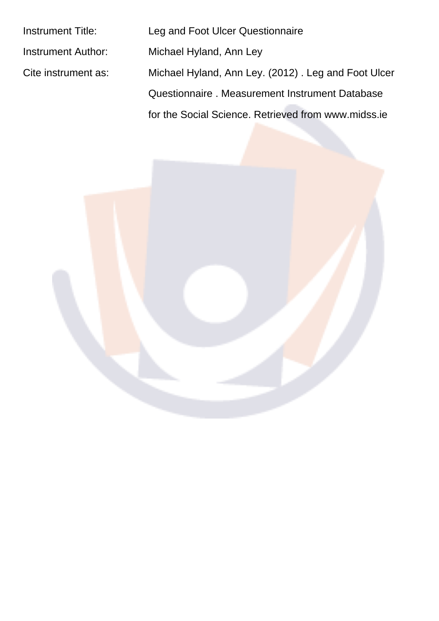| <b>Instrument Title:</b> | Leg and Foot Ulcer Questionnaire                    |
|--------------------------|-----------------------------------------------------|
| Instrument Author:       | Michael Hyland, Ann Ley                             |
| Cite instrument as:      | Michael Hyland, Ann Ley. (2012). Leg and Foot Ulcer |
|                          | Questionnaire. Measurement Instrument Database      |
|                          | for the Social Science. Retrieved from www.midss.ie |
|                          |                                                     |

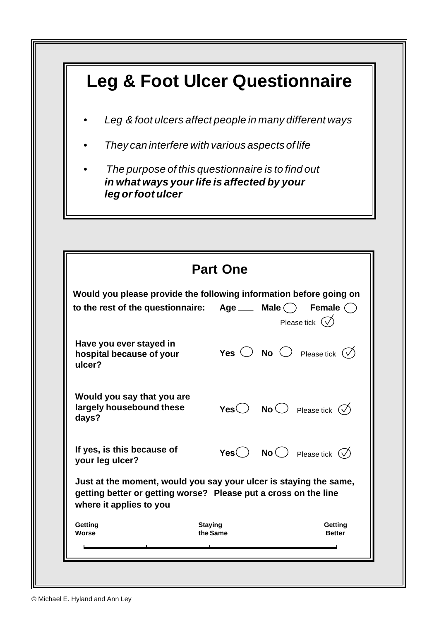## **Leg & Foot Ulcer Questionnaire**

- *• Leg & foot ulcers affect people in many different ways*
- *• They can interfere with various aspects of life*
- *The purpose of this questionnaire is to find out in what ways your life is affected by your leg or foot ulcer*

|                                                                                                                                                                 | <b>Part One</b>                                                                                                                                                           |  |  |  |  |
|-----------------------------------------------------------------------------------------------------------------------------------------------------------------|---------------------------------------------------------------------------------------------------------------------------------------------------------------------------|--|--|--|--|
|                                                                                                                                                                 | Would you please provide the following information before going on<br>to the rest of the questionnaire: $Age \_\_$ Male $\bigcirc$<br>Female $( )$<br>Please tick $(\vee$ |  |  |  |  |
| Have you ever stayed in<br>hospital because of your<br>ulcer?                                                                                                   | <b>Yes</b> $\bigcirc$ <b>No</b> $\bigcirc$ Please tick $\bigcirc$                                                                                                         |  |  |  |  |
| Would you say that you are<br>largely housebound these<br>days?                                                                                                 | Yes $\bigcirc$ No $\bigcirc$ Please tick $\oslash$                                                                                                                        |  |  |  |  |
| If yes, is this because of<br>your leg ulcer?                                                                                                                   | Yes $\bigcirc$ No $\bigcirc$ Please tick $\oslash$                                                                                                                        |  |  |  |  |
| Just at the moment, would you say your ulcer is staying the same,<br>getting better or getting worse? Please put a cross on the line<br>where it applies to you |                                                                                                                                                                           |  |  |  |  |
| Getting                                                                                                                                                         | <b>Staying</b><br>Getting<br>the Same<br><b>Better</b>                                                                                                                    |  |  |  |  |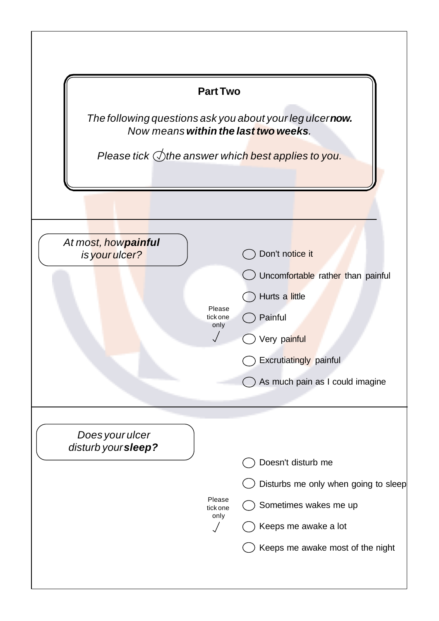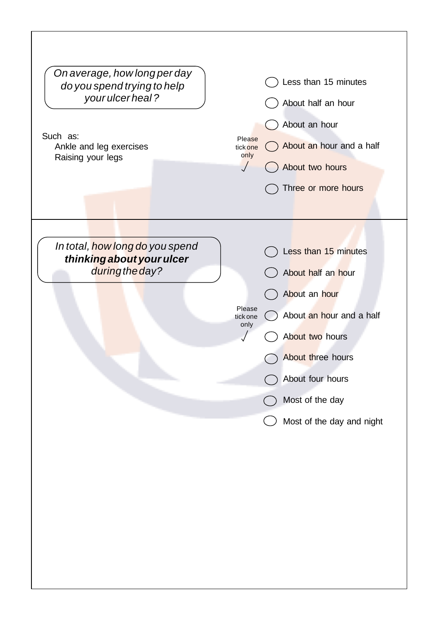| On average, how long per day<br>do you spend trying to help<br>your ulcer heal?<br>Such as:<br>Ankle and leg exercises<br>Raising your legs | Please<br>tick one<br>only | Less than 15 minutes<br>About half an hour<br>About an hour<br>About an hour and a half<br>About two hours<br>Three or more hours                                                                   |
|---------------------------------------------------------------------------------------------------------------------------------------------|----------------------------|-----------------------------------------------------------------------------------------------------------------------------------------------------------------------------------------------------|
| In total, how long do you spend<br>thinking about your ulcer<br>during the day?                                                             | Please<br>tick one<br>only | Less than 15 minutes<br>About half an hour<br>About an hour<br>About an hour and a half<br>About two hours<br>About three hours<br>About four hours<br>Most of the day<br>Most of the day and night |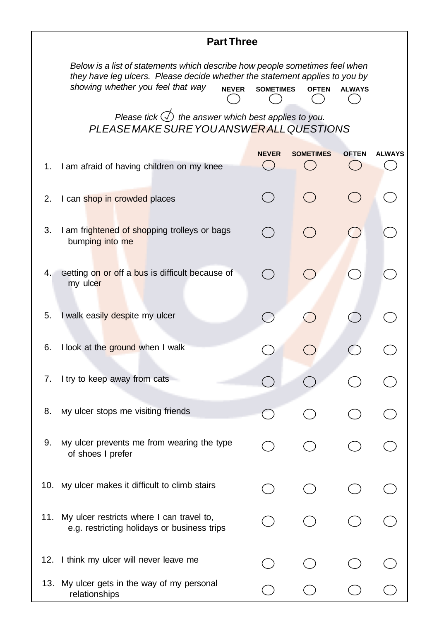| <b>Part Three</b>                                                                                                                                                                                                                                                    |                                                                                                          |              |                  |              |               |  |
|----------------------------------------------------------------------------------------------------------------------------------------------------------------------------------------------------------------------------------------------------------------------|----------------------------------------------------------------------------------------------------------|--------------|------------------|--------------|---------------|--|
| Below is a list of statements which describe how people sometimes feel when<br>they have leg ulcers. Please decide whether the statement applies to you by<br>showing whether you feel that way<br><b>NEVER</b><br><b>SOMETIMES</b><br><b>OFTEN</b><br><b>ALWAYS</b> |                                                                                                          |              |                  |              |               |  |
|                                                                                                                                                                                                                                                                      | Please tick $\bigcirc$ the answer which best applies to you.<br>PLEASE MAKE SURE YOU ANSWERALL QUESTIONS |              |                  |              |               |  |
| 1.                                                                                                                                                                                                                                                                   | I am afraid of having children on my knee                                                                | <b>NEVER</b> | <b>SOMETIMES</b> | <b>OFTEN</b> | <b>ALWAYS</b> |  |
| 2.                                                                                                                                                                                                                                                                   | I can shop in crowded places                                                                             |              |                  |              |               |  |
| 3.                                                                                                                                                                                                                                                                   | I am frightened of shopping trolleys or bags<br>bumping into me                                          |              |                  |              |               |  |
| 4.1                                                                                                                                                                                                                                                                  | Getting on or off a bus is difficult because of<br>my ulcer                                              |              |                  |              |               |  |
| 5.                                                                                                                                                                                                                                                                   | I walk easily despite my ulcer                                                                           |              |                  |              |               |  |
| 6.                                                                                                                                                                                                                                                                   | I look at the ground when I walk                                                                         |              |                  |              |               |  |
| 7.                                                                                                                                                                                                                                                                   | I try to keep away from cats                                                                             |              |                  |              |               |  |
| 8.                                                                                                                                                                                                                                                                   | My ulcer stops me visiting friends                                                                       |              |                  |              |               |  |
| 9.                                                                                                                                                                                                                                                                   | My ulcer prevents me from wearing the type<br>of shoes I prefer                                          |              |                  |              |               |  |
| 10.                                                                                                                                                                                                                                                                  | My ulcer makes it difficult to climb stairs                                                              |              |                  |              |               |  |
| 11.                                                                                                                                                                                                                                                                  | My ulcer restricts where I can travel to,<br>e.g. restricting holidays or business trips                 |              |                  |              |               |  |
|                                                                                                                                                                                                                                                                      | 12. I think my ulcer will never leave me                                                                 |              |                  |              |               |  |
|                                                                                                                                                                                                                                                                      | 13. My ulcer gets in the way of my personal<br>relationships                                             |              |                  |              |               |  |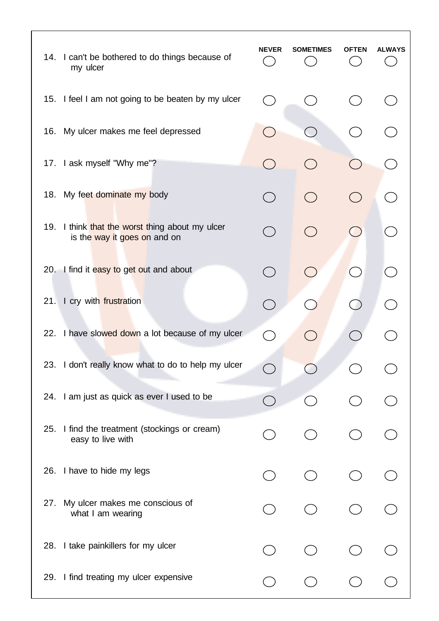|     | 14. I can't be bothered to do things because of<br>my ulcer                     | <b>NEVER</b>                                    | <b>SOMETIMES</b> | OFTEN                    | ALWAYS |
|-----|---------------------------------------------------------------------------------|-------------------------------------------------|------------------|--------------------------|--------|
|     | 15. I feel I am not going to be beaten by my ulcer                              | $\left( \begin{array}{c} 1 \end{array} \right)$ |                  |                          |        |
|     | 16. My ulcer makes me feel depressed                                            | $\begin{pmatrix} 1 \\ 1 \end{pmatrix}$          |                  |                          |        |
|     | 17. I ask myself "Why me"?                                                      | $( \ )$                                         |                  |                          |        |
| 18. | My feet dominate my body                                                        | $($ )                                           |                  | - 1                      |        |
|     | 19. I think that the worst thing about my ulcer<br>is the way it goes on and on | $($ )                                           |                  |                          |        |
|     | 20. I find it easy to get out and about                                         | $(\ )$                                          |                  | $\overline{\phantom{a}}$ |        |
| 21. | I cry with frustration                                                          |                                                 |                  |                          |        |
|     | 22. I have slowed down a lot because of my ulcer                                | $\tilde{C}$                                     |                  |                          |        |
|     | 23. I don't really know what to do to help my ulcer                             |                                                 |                  |                          |        |
|     | 24. I am just as quick as ever I used to be                                     |                                                 |                  |                          |        |
| 25. | I find the treatment (stockings or cream)<br>easy to live with                  |                                                 |                  |                          |        |
|     | 26. I have to hide my legs                                                      |                                                 |                  |                          |        |
| 27. | My ulcer makes me conscious of<br>what I am wearing                             |                                                 |                  |                          |        |
|     | 28. I take painkillers for my ulcer                                             |                                                 |                  |                          |        |
|     | 29. I find treating my ulcer expensive                                          |                                                 |                  |                          |        |